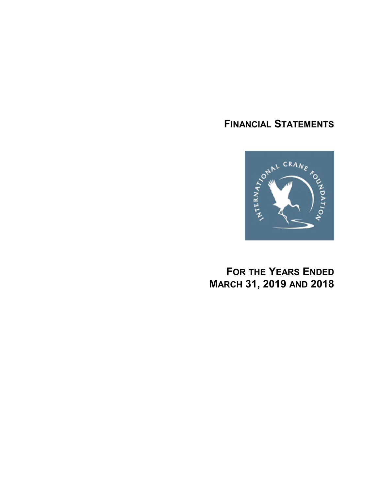# **FINANCIAL STATEMENTS**



**FOR THE YEARS ENDED MARCH 31, 2019 AND 2018**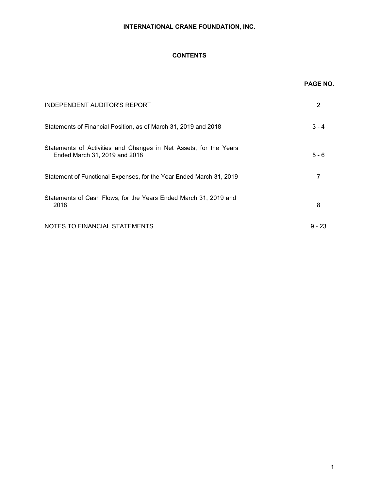# **CONTENTS**

|                                                                                                    | PAGE NO.       |
|----------------------------------------------------------------------------------------------------|----------------|
| <b>INDEPENDENT AUDITOR'S REPORT</b>                                                                | $\overline{2}$ |
| Statements of Financial Position, as of March 31, 2019 and 2018                                    | $3 - 4$        |
| Statements of Activities and Changes in Net Assets, for the Years<br>Ended March 31, 2019 and 2018 | $5 - 6$        |
| Statement of Functional Expenses, for the Year Ended March 31, 2019                                | 7              |
| Statements of Cash Flows, for the Years Ended March 31, 2019 and<br>2018                           | 8              |
| NOTES TO FINANCIAL STATEMENTS                                                                      | $9 - 23$       |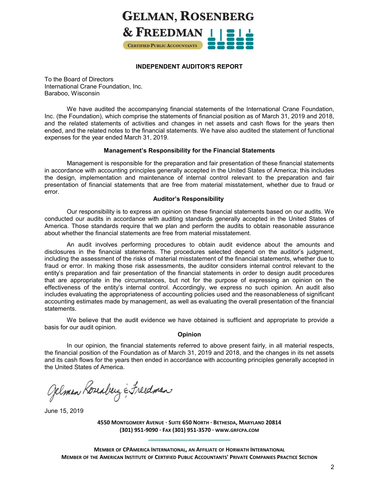

#### **INDEPENDENT AUDITOR'S REPORT**

To the Board of Directors International Crane Foundation, Inc. Baraboo, Wisconsin

We have audited the accompanying financial statements of the International Crane Foundation, Inc. (the Foundation), which comprise the statements of financial position as of March 31, 2019 and 2018, and the related statements of activities and changes in net assets and cash flows for the years then ended, and the related notes to the financial statements. We have also audited the statement of functional expenses for the year ended March 31, 2019.

#### **Management's Responsibility for the Financial Statements**

Management is responsible for the preparation and fair presentation of these financial statements in accordance with accounting principles generally accepted in the United States of America; this includes the design, implementation and maintenance of internal control relevant to the preparation and fair presentation of financial statements that are free from material misstatement, whether due to fraud or error.

#### **Auditor's Responsibility**

Our responsibility is to express an opinion on these financial statements based on our audits. We conducted our audits in accordance with auditing standards generally accepted in the United States of America. Those standards require that we plan and perform the audits to obtain reasonable assurance about whether the financial statements are free from material misstatement.

An audit involves performing procedures to obtain audit evidence about the amounts and disclosures in the financial statements. The procedures selected depend on the auditor's judgment, including the assessment of the risks of material misstatement of the financial statements, whether due to fraud or error. In making those risk assessments, the auditor considers internal control relevant to the entity's preparation and fair presentation of the financial statements in order to design audit procedures that are appropriate in the circumstances, but not for the purpose of expressing an opinion on the effectiveness of the entity's internal control. Accordingly, we express no such opinion. An audit also includes evaluating the appropriateness of accounting policies used and the reasonableness of significant accounting estimates made by management, as well as evaluating the overall presentation of the financial statements.

We believe that the audit evidence we have obtained is sufficient and appropriate to provide a basis for our audit opinion.

#### **Opinion**

In our opinion, the financial statements referred to above present fairly, in all material respects, the financial position of the Foundation as of March 31, 2019 and 2018, and the changes in its net assets and its cash flows for the years then ended in accordance with accounting principles generally accepted in the United States of America.

Gelman Roseaberg & Freedman

June 15, 2019

**4550 MONTGOMERY AVENUE · SUITE 650 NORTH · BETHESDA, MARYLAND 20814 (301) 951-9090 · FAX (301) 951-3570 · WWW.GRFCPA.COM \_\_\_\_\_\_\_\_\_\_\_\_\_\_\_\_\_\_\_\_\_\_\_\_\_\_\_**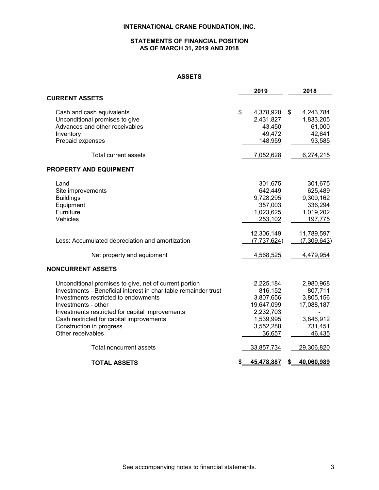# **STATEMENTS OF FINANCIAL POSITION AS OF MARCH 31, 2019 AND 2018**

# **ASSETS**

|                                                                 | 2019             | 2018             |
|-----------------------------------------------------------------|------------------|------------------|
| <b>CURRENT ASSETS</b>                                           |                  |                  |
| Cash and cash equivalents                                       | \$<br>4,378,920  | \$<br>4,243,784  |
| Unconditional promises to give                                  | 2,431,827        | 1,833,205        |
| Advances and other receivables                                  | 43,450           | 61,000           |
| Inventory                                                       | 49,472           | 42,641           |
| Prepaid expenses                                                | 148,959          | 93,585           |
| Total current assets                                            | 7,052,628        | 6,274,215        |
| <b>PROPERTY AND EQUIPMENT</b>                                   |                  |                  |
| Land                                                            | 301,675          | 301,675          |
| Site improvements                                               | 642,449          | 625,489          |
| <b>Buildings</b>                                                | 9,728,295        | 9,309,162        |
| Equipment                                                       | 357,003          | 336,294          |
| Furniture                                                       | 1,023,625        | 1,019,202        |
| Vehicles                                                        | 253,102          | 197,775          |
|                                                                 | 12,306,149       | 11,789,597       |
| Less: Accumulated depreciation and amortization                 | (7,737,624)      | (7,309,643)      |
| Net property and equipment                                      | 4,568,525        | 4,479,954        |
| <b>NONCURRENT ASSETS</b>                                        |                  |                  |
| Unconditional promises to give, net of current portion          | 2,225,184        | 2,980,968        |
| Investments - Beneficial interest in charitable remainder trust | 816,152          | 807,711          |
| Investments restricted to endowments                            | 3,807,656        | 3,805,156        |
| Investments - other                                             | 19,647,099       | 17,088,187       |
| Investments restricted for capital improvements                 | 2,232,703        |                  |
| Cash restricted for capital improvements                        | 1,539,995        | 3,846,912        |
| Construction in progress                                        | 3,552,288        | 731,451          |
| Other receivables                                               | 36,657           | 46,435           |
| Total noncurrent assets                                         | 33,857,734       | 29,306,820       |
| <b>TOTAL ASSETS</b>                                             | \$<br>45,478,887 | \$<br>40,060,989 |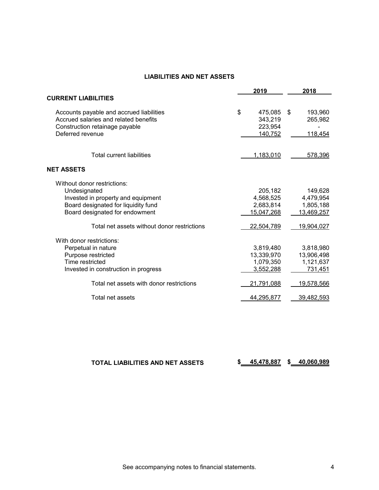# **LIABILITIES AND NET ASSETS**

|                                             | 2019 |            | 2018          |  |
|---------------------------------------------|------|------------|---------------|--|
| <b>CURRENT LIABILITIES</b>                  |      |            |               |  |
| Accounts payable and accrued liabilities    | \$   | 475,085    | \$<br>193,960 |  |
| Accrued salaries and related benefits       |      | 343,219    | 265,982       |  |
| Construction retainage payable              |      | 223,954    |               |  |
| Deferred revenue                            |      | 140,752    | 118,454       |  |
| <b>Total current liabilities</b>            |      | 1,183,010  | 578,396       |  |
| <b>NET ASSETS</b>                           |      |            |               |  |
| Without donor restrictions:                 |      |            |               |  |
| Undesignated                                |      | 205,182    | 149,628       |  |
| Invested in property and equipment          |      | 4,568,525  | 4,479,954     |  |
| Board designated for liquidity fund         |      | 2,683,814  | 1,805,188     |  |
| Board designated for endowment              |      | 15,047,268 | 13,469,257    |  |
| Total net assets without donor restrictions |      | 22,504,789 | 19,904,027    |  |
| With donor restrictions:                    |      |            |               |  |
| Perpetual in nature                         |      | 3,819,480  | 3,818,980     |  |
| Purpose restricted                          |      | 13,339,970 | 13,906,498    |  |
| Time restricted                             |      | 1,079,350  | 1,121,637     |  |
| Invested in construction in progress        |      | 3,552,288  | 731,451       |  |
| Total net assets with donor restrictions    |      | 21,791,088 | 19,578,566    |  |
| Total net assets                            |      | 44,295,877 | 39,482,593    |  |

| TOTAL LIABILITIES AND NET ASSETS |  | 45.478.887 |  | 40.060.989 |
|----------------------------------|--|------------|--|------------|
|----------------------------------|--|------------|--|------------|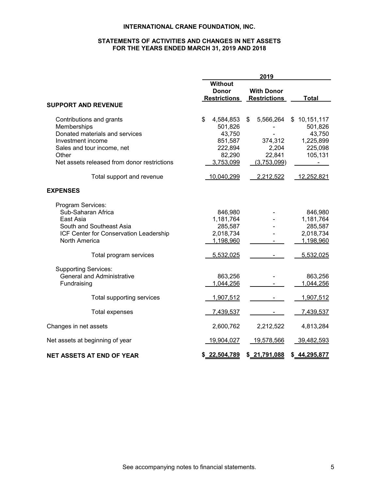# **STATEMENTS OF ACTIVITIES AND CHANGES IN NET ASSETS FOR THE YEARS ENDED MARCH 31, 2019 AND 2018**

|                                                                                                                                                                                      | 2019                                                                                            |                                                              |                                                                                              |  |  |  |
|--------------------------------------------------------------------------------------------------------------------------------------------------------------------------------------|-------------------------------------------------------------------------------------------------|--------------------------------------------------------------|----------------------------------------------------------------------------------------------|--|--|--|
|                                                                                                                                                                                      | <b>Without</b><br><b>Donor</b><br><b>Restrictions</b>                                           | <b>With Donor</b><br><b>Restrictions</b>                     | <b>Total</b>                                                                                 |  |  |  |
| <b>SUPPORT AND REVENUE</b>                                                                                                                                                           |                                                                                                 |                                                              |                                                                                              |  |  |  |
| Contributions and grants<br>Memberships<br>Donated materials and services<br>Investment income<br>Sales and tour income, net<br>Other<br>Net assets released from donor restrictions | \$<br>4,584,853<br>501,826<br>43,750<br>851,587<br>222,894<br>82,290<br>3,753,099<br>10,040,299 | 5,566,264<br>\$<br>374,312<br>2,204<br>22,841<br>(3,753,099) | \$10,151,117<br>501,826<br>43,750<br>1,225,899<br>225,098<br>105,131<br>$\sim$<br>12,252,821 |  |  |  |
| Total support and revenue                                                                                                                                                            |                                                                                                 | 2,212,522                                                    |                                                                                              |  |  |  |
| <b>EXPENSES</b>                                                                                                                                                                      |                                                                                                 |                                                              |                                                                                              |  |  |  |
| Program Services:<br>Sub-Saharan Africa<br>East Asia<br>South and Southeast Asia<br>ICF Center for Conservation Leadership<br>North America                                          | 846,980<br>1,181,764<br>285,587<br>2,018,734<br>1,198,960                                       |                                                              | 846,980<br>1,181,764<br>285,587<br>2,018,734<br>1,198,960                                    |  |  |  |
| Total program services                                                                                                                                                               | 5,532,025                                                                                       |                                                              | 5,532,025                                                                                    |  |  |  |
| <b>Supporting Services:</b><br><b>General and Administrative</b><br>Fundraising                                                                                                      | 863,256<br>1,044,256                                                                            |                                                              | 863,256<br>1,044,256                                                                         |  |  |  |
| Total supporting services                                                                                                                                                            | 1,907,512                                                                                       |                                                              | 1,907,512                                                                                    |  |  |  |
| Total expenses                                                                                                                                                                       | 7,439,537                                                                                       |                                                              | 7,439,537                                                                                    |  |  |  |
| Changes in net assets                                                                                                                                                                | 2,600,762                                                                                       | 2,212,522                                                    | 4,813,284                                                                                    |  |  |  |
| Net assets at beginning of year                                                                                                                                                      | 19,904,027                                                                                      | 19,578,566                                                   | 39,482,593                                                                                   |  |  |  |
| <b>NET ASSETS AT END OF YEAR</b>                                                                                                                                                     | \$22,504,789                                                                                    | \$21,791,088                                                 | \$44,295,877                                                                                 |  |  |  |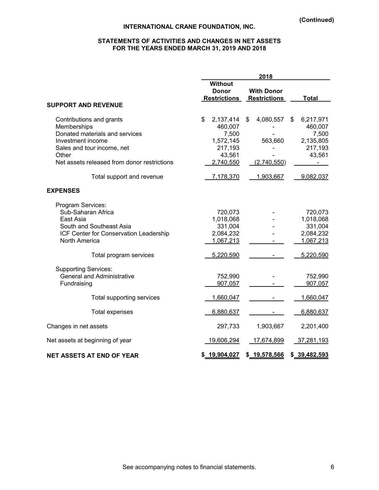# **STATEMENTS OF ACTIVITIES AND CHANGES IN NET ASSETS FOR THE YEARS ENDED MARCH 31, 2019 AND 2018**

|                                                                                                                                                                                                                   |                                                                                                 | 2018                                                   |                                                                                    |
|-------------------------------------------------------------------------------------------------------------------------------------------------------------------------------------------------------------------|-------------------------------------------------------------------------------------------------|--------------------------------------------------------|------------------------------------------------------------------------------------|
|                                                                                                                                                                                                                   | <b>Without</b><br><b>Donor</b><br><b>Restrictions</b>                                           | <b>With Donor</b><br><b>Restrictions</b>               | <b>Total</b>                                                                       |
| <b>SUPPORT AND REVENUE</b>                                                                                                                                                                                        |                                                                                                 |                                                        |                                                                                    |
| Contributions and grants<br>Memberships<br>Donated materials and services<br>Investment income<br>Sales and tour income, net<br>Other<br>Net assets released from donor restrictions<br>Total support and revenue | \$<br>2,137,414<br>460,007<br>7,500<br>1,572,145<br>217,193<br>43,561<br>2,740,550<br>7,178,370 | \$<br>4,080,557<br>563,660<br>(2,740,550)<br>1,903,667 | \$<br>6,217,971<br>460,007<br>7,500<br>2,135,805<br>217,193<br>43,561<br>9,082,037 |
| <b>EXPENSES</b>                                                                                                                                                                                                   |                                                                                                 |                                                        |                                                                                    |
|                                                                                                                                                                                                                   |                                                                                                 |                                                        |                                                                                    |
| Program Services:<br>Sub-Saharan Africa<br>East Asia<br>South and Southeast Asia<br>ICF Center for Conservation Leadership<br>North America                                                                       | 720,073<br>1,018,068<br>331,004<br>2,084,232<br>1,067,213                                       |                                                        | 720,073<br>1,018,068<br>331,004<br>2,084,232<br>1,067,213                          |
| Total program services                                                                                                                                                                                            | 5,220,590                                                                                       |                                                        | 5,220,590                                                                          |
| <b>Supporting Services:</b><br><b>General and Administrative</b><br>Fundraising                                                                                                                                   | 752,990<br>907,057                                                                              |                                                        | 752,990<br>907,057                                                                 |
| Total supporting services                                                                                                                                                                                         | 1,660,047                                                                                       |                                                        | 1,660,047                                                                          |
| <b>Total expenses</b>                                                                                                                                                                                             | 6,880,637                                                                                       |                                                        | 6,880,637                                                                          |
| Changes in net assets                                                                                                                                                                                             | 297,733                                                                                         | 1,903,667                                              | 2,201,400                                                                          |
| Net assets at beginning of year                                                                                                                                                                                   | 19,606,294                                                                                      | 17,674,899                                             | 37,281,193                                                                         |
| <b>NET ASSETS AT END OF YEAR</b>                                                                                                                                                                                  | \$19,904,027                                                                                    | \$19,578,566                                           | \$39,482,593                                                                       |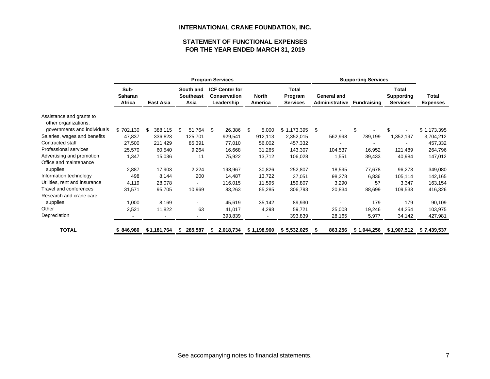# **FOR THE YEAR ENDED MARCH 31, 2019 STATEMENT OF FUNCTIONAL EXPENSES**

|                                                  |                                  |               |                                       | <b>Program Services</b>                                    |                         |                                            | <b>Supporting Services</b>                  |                    |                                               |                          |
|--------------------------------------------------|----------------------------------|---------------|---------------------------------------|------------------------------------------------------------|-------------------------|--------------------------------------------|---------------------------------------------|--------------------|-----------------------------------------------|--------------------------|
|                                                  | Sub-<br><b>Saharan</b><br>Africa | East Asia     | South and<br><b>Southeast</b><br>Asia | <b>ICF Center for</b><br><b>Conservation</b><br>Leadership | <b>North</b><br>America | <b>Total</b><br>Program<br><b>Services</b> | <b>General and</b><br><b>Administrative</b> | <b>Fundraising</b> | Total<br><b>Supporting</b><br><b>Services</b> | Total<br><b>Expenses</b> |
| Assistance and grants to<br>other organizations, |                                  |               |                                       |                                                            |                         |                                            |                                             |                    |                                               |                          |
| governments and individuals                      | \$702,130                        | \$<br>388,115 | \$<br>51,764                          | \$<br>26,386                                               | \$<br>5,000             | \$1,173,395                                | \$                                          | \$                 |                                               | \$1,173,395              |
| Salaries, wages and benefits                     | 47,837                           | 336,823       | 125,701                               | 929,541                                                    | 912,113                 | 2,352,015                                  | 562,998                                     | 789,199            | 1,352,197                                     | 3,704,212                |
| Contracted staff                                 | 27,500                           | 211,429       | 85,391                                | 77,010                                                     | 56,002                  | 457,332                                    |                                             |                    |                                               | 457,332                  |
| Professional services                            | 25,570                           | 60,540        | 9,264                                 | 16,668                                                     | 31,265                  | 143,307                                    | 104,537                                     | 16,952             | 121,489                                       | 264,796                  |
| Advertising and promotion                        | 1,347                            | 15,036        | 11                                    | 75,922                                                     | 13,712                  | 106,028                                    | 1,551                                       | 39,433             | 40,984                                        | 147,012                  |
| Office and maintenance                           |                                  |               |                                       |                                                            |                         |                                            |                                             |                    |                                               |                          |
| supplies                                         | 2,887                            | 17,903        | 2,224                                 | 198,967                                                    | 30,826                  | 252,807                                    | 18,595                                      | 77,678             | 96,273                                        | 349,080                  |
| Information technology                           | 498                              | 8,144         | 200                                   | 14,487                                                     | 13,722                  | 37,051                                     | 98,278                                      | 6,836              | 105,114                                       | 142,165                  |
| Utilities, rent and insurance                    | 4,119                            | 28,078        |                                       | 116,015                                                    | 11,595                  | 159,807                                    | 3,290                                       | 57                 | 3,347                                         | 163,154                  |
| Travel and conferences                           | 31,571                           | 95,705        | 10,969                                | 83,263                                                     | 85,285                  | 306,793                                    | 20,834                                      | 88,699             | 109,533                                       | 416,326                  |
| Research and crane care                          |                                  |               |                                       |                                                            |                         |                                            |                                             |                    |                                               |                          |
| supplies                                         | 1,000                            | 8,169         |                                       | 45,619                                                     | 35,142                  | 89,930                                     |                                             | 179                | 179                                           | 90,109                   |
| Other                                            | 2,521                            | 11,822        | 63                                    | 41,017                                                     | 4,298                   | 59,721                                     | 25,008                                      | 19,246             | 44,254                                        | 103,975                  |
| Depreciation                                     |                                  |               | ۰                                     | 393,839                                                    |                         | 393,839                                    | 28,165                                      | 5,977              | 34,142                                        | 427,981                  |
| <b>TOTAL</b>                                     | \$846,980                        | \$1,181,764   | 285,587<br>S                          | 2,018,734<br>S                                             | \$1,198,960             | \$5,532,025                                | 863,256<br>\$                               | \$1,044,256        | \$1,907,512                                   | \$7,439,537              |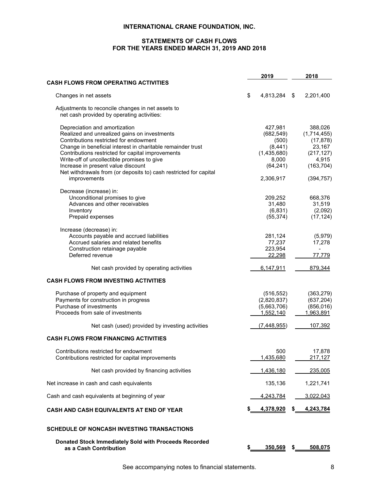# **STATEMENTS OF CASH FLOWS FOR THE YEARS ENDED MARCH 31, 2019 AND 2018**

|                                                                                                                                                                                                                                             | 2019                                                      | 2018                                                        |
|---------------------------------------------------------------------------------------------------------------------------------------------------------------------------------------------------------------------------------------------|-----------------------------------------------------------|-------------------------------------------------------------|
| <b>CASH FLOWS FROM OPERATING ACTIVITIES</b>                                                                                                                                                                                                 |                                                           |                                                             |
| Changes in net assets                                                                                                                                                                                                                       | \$<br>4,813,284                                           | \$<br>2,201,400                                             |
| Adjustments to reconcile changes in net assets to<br>net cash provided by operating activities:                                                                                                                                             |                                                           |                                                             |
| Depreciation and amortization<br>Realized and unrealized gains on investments<br>Contributions restricted for endowment<br>Change in beneficial interest in charitable remainder trust<br>Contributions restricted for capital improvements | 427,981<br>(682, 549)<br>(500)<br>(8, 441)<br>(1,435,680) | 388,026<br>(1,714,455)<br>(17, 878)<br>23,167<br>(217, 127) |
| Write-off of uncollectible promises to give<br>Increase in present value discount<br>Net withdrawals from (or deposits to) cash restricted for capital<br>improvements                                                                      | 8,000<br>(64, 241)<br>2,306,917                           | 4,915<br>(163, 704)<br>(394, 757)                           |
|                                                                                                                                                                                                                                             |                                                           |                                                             |
| Decrease (increase) in:<br>Unconditional promises to give<br>Advances and other receivables<br>Inventory<br>Prepaid expenses                                                                                                                | 209,252<br>31,480<br>(6, 831)<br>(55, 374)                | 668,376<br>31,519<br>(2,092)<br>(17, 124)                   |
| Increase (decrease) in:<br>Accounts payable and accrued liabilities<br>Accrued salaries and related benefits<br>Construction retainage payable<br>Deferred revenue                                                                          | 281,124<br>77,237<br>223,954<br>22,298                    | (5,979)<br>17,278<br>77,779                                 |
| Net cash provided by operating activities                                                                                                                                                                                                   | 6,147,911                                                 | 879,344                                                     |
| <b>CASH FLOWS FROM INVESTING ACTIVITIES</b>                                                                                                                                                                                                 |                                                           |                                                             |
| Purchase of property and equipment<br>Payments for construction in progress<br>Purchase of investments<br>Proceeds from sale of investments                                                                                                 | (516, 552)<br>(2,820,837)<br>(5,663,706)<br>1,552,140     | (363, 279)<br>(637, 204)<br>(856, 016)<br>1,963,891         |
| Net cash (used) provided by investing activities                                                                                                                                                                                            | (7,448,955)                                               | 107,392                                                     |
| <b>CASH FLOWS FROM FINANCING ACTIVITIES</b>                                                                                                                                                                                                 |                                                           |                                                             |
| Contributions restricted for endowment<br>Contributions restricted for capital improvements                                                                                                                                                 | 500<br>1,435,680                                          | 17,878<br>217,127                                           |
| Net cash provided by financing activities                                                                                                                                                                                                   | 1,436,180                                                 | 235,005                                                     |
| Net increase in cash and cash equivalents                                                                                                                                                                                                   | 135,136                                                   | 1,221,741                                                   |
| Cash and cash equivalents at beginning of year                                                                                                                                                                                              | 4,243,784                                                 | 3,022,043                                                   |
| CASH AND CASH EQUIVALENTS AT END OF YEAR                                                                                                                                                                                                    | 4,378,920                                                 | \$<br>4,243,784                                             |
| SCHEDULE OF NONCASH INVESTING TRANSACTIONS                                                                                                                                                                                                  |                                                           |                                                             |
| Donated Stock Immediately Sold with Proceeds Recorded<br>as a Cash Contribution                                                                                                                                                             | \$<br>$350,569$ \$                                        | 508,075                                                     |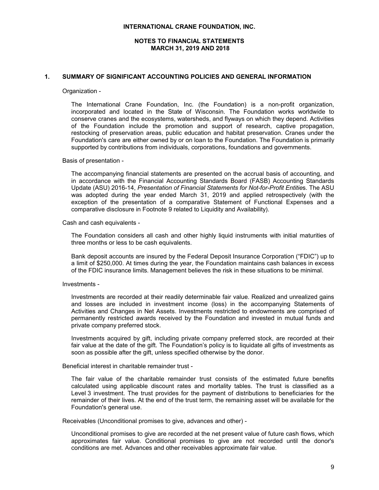## **NOTES TO FINANCIAL STATEMENTS MARCH 31, 2019 AND 2018**

#### **1. SUMMARY OF SIGNIFICANT ACCOUNTING POLICIES AND GENERAL INFORMATION**

#### Organization -

The International Crane Foundation, Inc. (the Foundation) is a non-profit organization, incorporated and located in the State of Wisconsin. The Foundation works worldwide to conserve cranes and the ecosystems, watersheds, and flyways on which they depend. Activities of the Foundation include the promotion and support of research, captive propagation, restocking of preservation areas, public education and habitat preservation. Cranes under the Foundation's care are either owned by or on loan to the Foundation. The Foundation is primarily supported by contributions from individuals, corporations, foundations and governments.

#### Basis of presentation -

The accompanying financial statements are presented on the accrual basis of accounting, and in accordance with the Financial Accounting Standards Board (FASB) Accounting Standards Update (ASU) 2016-14, *Presentation of Financial Statements for Not-for-Profit Entitie*s. The ASU was adopted during the year ended March 31, 2019 and applied retrospectively (with the exception of the presentation of a comparative Statement of Functional Expenses and a comparative disclosure in Footnote 9 related to Liquidity and Availability).

#### Cash and cash equivalents -

The Foundation considers all cash and other highly liquid instruments with initial maturities of three months or less to be cash equivalents.

Bank deposit accounts are insured by the Federal Deposit Insurance Corporation ("FDIC") up to a limit of \$250,000. At times during the year, the Foundation maintains cash balances in excess of the FDIC insurance limits. Management believes the risk in these situations to be minimal.

#### Investments -

Investments are recorded at their readily determinable fair value. Realized and unrealized gains and losses are included in investment income (loss) in the accompanying Statements of Activities and Changes in Net Assets. Investments restricted to endowments are comprised of permanently restricted awards received by the Foundation and invested in mutual funds and private company preferred stock.

Investments acquired by gift, including private company preferred stock, are recorded at their fair value at the date of the gift. The Foundation's policy is to liquidate all gifts of investments as soon as possible after the gift, unless specified otherwise by the donor.

#### Beneficial interest in charitable remainder trust -

The fair value of the charitable remainder trust consists of the estimated future benefits calculated using applicable discount rates and mortality tables. The trust is classified as a Level 3 investment. The trust provides for the payment of distributions to beneficiaries for the remainder of their lives. At the end of the trust term, the remaining asset will be available for the Foundation's general use.

Receivables (Unconditional promises to give, advances and other) -

Unconditional promises to give are recorded at the net present value of future cash flows, which approximates fair value. Conditional promises to give are not recorded until the donor's conditions are met. Advances and other receivables approximate fair value.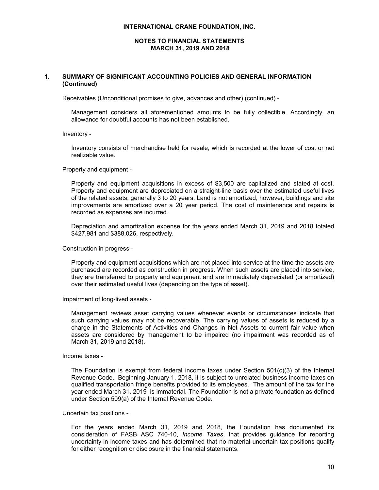#### **NOTES TO FINANCIAL STATEMENTS MARCH 31, 2019 AND 2018**

# **1. SUMMARY OF SIGNIFICANT ACCOUNTING POLICIES AND GENERAL INFORMATION (Continued)**

Receivables (Unconditional promises to give, advances and other) (continued) -

Management considers all aforementioned amounts to be fully collectible. Accordingly, an allowance for doubtful accounts has not been established.

Inventory -

Inventory consists of merchandise held for resale, which is recorded at the lower of cost or net realizable value.

Property and equipment -

Property and equipment acquisitions in excess of \$3,500 are capitalized and stated at cost. Property and equipment are depreciated on a straight-line basis over the estimated useful lives of the related assets, generally 3 to 20 years. Land is not amortized, however, buildings and site improvements are amortized over a 20 year period. The cost of maintenance and repairs is recorded as expenses are incurred.

Depreciation and amortization expense for the years ended March 31, 2019 and 2018 totaled \$427,981 and \$388,026, respectively.

Construction in progress -

Property and equipment acquisitions which are not placed into service at the time the assets are purchased are recorded as construction in progress. When such assets are placed into service, they are transferred to property and equipment and are immediately depreciated (or amortized) over their estimated useful lives (depending on the type of asset).

Impairment of long-lived assets -

Management reviews asset carrying values whenever events or circumstances indicate that such carrying values may not be recoverable. The carrying values of assets is reduced by a charge in the Statements of Activities and Changes in Net Assets to current fair value when assets are considered by management to be impaired (no impairment was recorded as of March 31, 2019 and 2018).

Income taxes -

The Foundation is exempt from federal income taxes under Section  $501(c)(3)$  of the Internal Revenue Code. Beginning January 1, 2018, it is subject to unrelated business income taxes on qualified transportation fringe benefits provided to its employees. The amount of the tax for the year ended March 31, 2019 is immaterial. The Foundation is not a private foundation as defined under Section 509(a) of the Internal Revenue Code.

Uncertain tax positions -

For the years ended March 31, 2019 and 2018, the Foundation has documented its consideration of FASB ASC 740-10, *Income Taxes*, that provides guidance for reporting uncertainty in income taxes and has determined that no material uncertain tax positions qualify for either recognition or disclosure in the financial statements.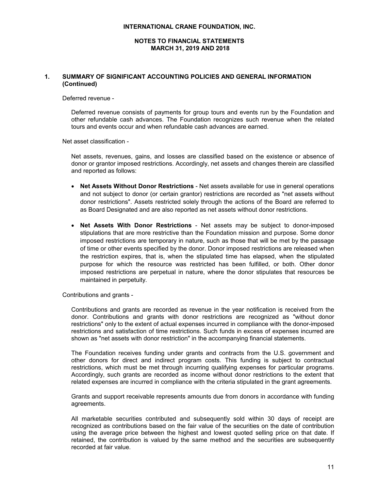#### **NOTES TO FINANCIAL STATEMENTS MARCH 31, 2019 AND 2018**

# **1. SUMMARY OF SIGNIFICANT ACCOUNTING POLICIES AND GENERAL INFORMATION (Continued)**

Deferred revenue -

Deferred revenue consists of payments for group tours and events run by the Foundation and other refundable cash advances. The Foundation recognizes such revenue when the related tours and events occur and when refundable cash advances are earned.

Net asset classification -

Net assets, revenues, gains, and losses are classified based on the existence or absence of donor or grantor imposed restrictions. Accordingly, net assets and changes therein are classified and reported as follows:

- **Net Assets Without Donor Restrictions** Net assets available for use in general operations and not subject to donor (or certain grantor) restrictions are recorded as "net assets without donor restrictions". Assets restricted solely through the actions of the Board are referred to as Board Designated and are also reported as net assets without donor restrictions.
- **Net Assets With Donor Restrictions** Net assets may be subject to donor-imposed stipulations that are more restrictive than the Foundation mission and purpose. Some donor imposed restrictions are temporary in nature, such as those that will be met by the passage of time or other events specified by the donor. Donor imposed restrictions are released when the restriction expires, that is, when the stipulated time has elapsed, when the stipulated purpose for which the resource was restricted has been fulfilled, or both. Other donor imposed restrictions are perpetual in nature, where the donor stipulates that resources be maintained in perpetuity.

Contributions and grants -

Contributions and grants are recorded as revenue in the year notification is received from the donor. Contributions and grants with donor restrictions are recognized as "without donor restrictions" only to the extent of actual expenses incurred in compliance with the donor-imposed restrictions and satisfaction of time restrictions. Such funds in excess of expenses incurred are shown as "net assets with donor restriction" in the accompanying financial statements.

The Foundation receives funding under grants and contracts from the U.S. government and other donors for direct and indirect program costs. This funding is subject to contractual restrictions, which must be met through incurring qualifying expenses for particular programs. Accordingly, such grants are recorded as income without donor restrictions to the extent that related expenses are incurred in compliance with the criteria stipulated in the grant agreements.

Grants and support receivable represents amounts due from donors in accordance with funding agreements.

All marketable securities contributed and subsequently sold within 30 days of receipt are recognized as contributions based on the fair value of the securities on the date of contribution using the average price between the highest and lowest quoted selling price on that date. If retained, the contribution is valued by the same method and the securities are subsequently recorded at fair value.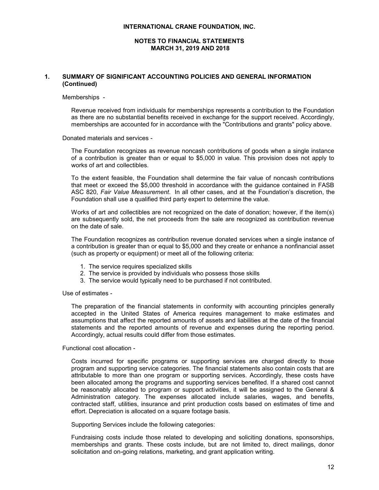#### **NOTES TO FINANCIAL STATEMENTS MARCH 31, 2019 AND 2018**

# **1. SUMMARY OF SIGNIFICANT ACCOUNTING POLICIES AND GENERAL INFORMATION (Continued)**

Memberships -

Revenue received from individuals for memberships represents a contribution to the Foundation as there are no substantial benefits received in exchange for the support received. Accordingly, memberships are accounted for in accordance with the "Contributions and grants" policy above.

Donated materials and services -

The Foundation recognizes as revenue noncash contributions of goods when a single instance of a contribution is greater than or equal to \$5,000 in value. This provision does not apply to works of art and collectibles.

To the extent feasible, the Foundation shall determine the fair value of noncash contributions that meet or exceed the \$5,000 threshold in accordance with the guidance contained in FASB ASC 820, *Fair Value Measurement*. In all other cases, and at the Foundation's discretion, the Foundation shall use a qualified third party expert to determine the value.

Works of art and collectibles are not recognized on the date of donation; however, if the item(s) are subsequently sold, the net proceeds from the sale are recognized as contribution revenue on the date of sale.

The Foundation recognizes as contribution revenue donated services when a single instance of a contribution is greater than or equal to \$5,000 and they create or enhance a nonfinancial asset (such as property or equipment) or meet all of the following criteria:

- 1. The service requires specialized skills
- 2. The service is provided by individuals who possess those skills
- 3. The service would typically need to be purchased if not contributed.

Use of estimates -

The preparation of the financial statements in conformity with accounting principles generally accepted in the United States of America requires management to make estimates and assumptions that affect the reported amounts of assets and liabilities at the date of the financial statements and the reported amounts of revenue and expenses during the reporting period. Accordingly, actual results could differ from those estimates.

#### Functional cost allocation -

Costs incurred for specific programs or supporting services are charged directly to those program and supporting service categories. The financial statements also contain costs that are attributable to more than one program or supporting services. Accordingly, these costs have been allocated among the programs and supporting services benefited. If a shared cost cannot be reasonably allocated to program or support activities, it will be assigned to the General & Administration category. The expenses allocated include salaries, wages, and benefits, contracted staff, utilities, insurance and print production costs based on estimates of time and effort. Depreciation is allocated on a square footage basis.

Supporting Services include the following categories:

Fundraising costs include those related to developing and soliciting donations, sponsorships, memberships and grants. These costs include, but are not limited to, direct mailings, donor solicitation and on-going relations, marketing, and grant application writing.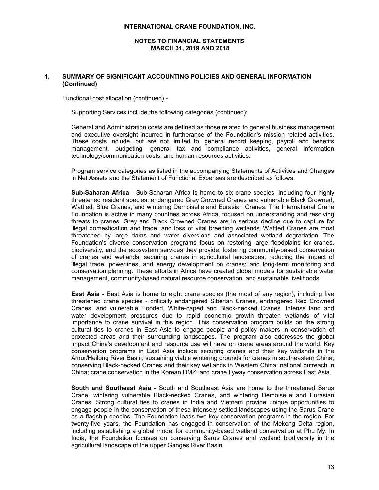#### **NOTES TO FINANCIAL STATEMENTS MARCH 31, 2019 AND 2018**

## **1. SUMMARY OF SIGNIFICANT ACCOUNTING POLICIES AND GENERAL INFORMATION (Continued)**

Functional cost allocation (continued) -

Supporting Services include the following categories (continued):

General and Administration costs are defined as those related to general business management and executive oversight incurred in furtherance of the Foundation's mission related activities. These costs include, but are not limited to, general record keeping, payroll and benefits management, budgeting, general tax and compliance activities, general Information technology/communication costs, and human resources activities.

Program service categories as listed in the accompanying Statements of Activities and Changes in Net Assets and the Statement of Functional Expenses are described as follows:

**Sub-Saharan Africa** - Sub-Saharan Africa is home to six crane species, including four highly threatened resident species: endangered Grey Crowned Cranes and vulnerable Black Crowned, Wattled, Blue Cranes, and wintering Demoiselle and Eurasian Cranes. The International Crane Foundation is active in many countries across Africa, focused on understanding and resolving threats to cranes. Grey and Black Crowned Cranes are in serious decline due to capture for illegal domestication and trade, and loss of vital breeding wetlands. Wattled Cranes are most threatened by large dams and water diversions and associated wetland degradation. The Foundation's diverse conservation programs focus on restoring large floodplains for cranes, biodiversity, and the ecosystem services they provide; fostering community-based conservation of cranes and wetlands; securing cranes in agricultural landscapes; reducing the impact of illegal trade, powerlines, and energy development on cranes; and long-term monitoring and conservation planning. These efforts in Africa have created global models for sustainable water management, community-based natural resource conservation, and sustainable livelihoods.

**East Asia** - East Asia is home to eight crane species (the most of any region), including five threatened crane species - critically endangered Siberian Cranes, endangered Red Crowned Cranes, and vulnerable Hooded, White-naped and Black-necked Cranes. Intense land and water development pressures due to rapid economic growth threaten wetlands of vital importance to crane survival in this region. This conservation program builds on the strong cultural ties to cranes in East Asia to engage people and policy makers in conservation of protected areas and their surrounding landscapes. The program also addresses the global impact China's development and resource use will have on crane areas around the world. Key conservation programs in East Asia include securing cranes and their key wetlands in the Amur/Heilong River Basin; sustaining viable wintering grounds for cranes in southeastern China; conserving Black-necked Cranes and their key wetlands in Western China; national outreach in China; crane conservation in the Korean DMZ; and crane flyway conservation across East Asia.

**South and Southeast Asia** - South and Southeast Asia are home to the threatened Sarus Crane; wintering vulnerable Black-necked Cranes, and wintering Demoiselle and Eurasian Cranes. Strong cultural ties to cranes in India and Vietnam provide unique opportunities to engage people in the conservation of these intensely settled landscapes using the Sarus Crane as a flagship species. The Foundation leads two key conservation programs in the region. For twenty-five years, the Foundation has engaged in conservation of the Mekong Delta region, including establishing a global model for community-based wetland conservation at Phu My. In India, the Foundation focuses on conserving Sarus Cranes and wetland biodiversity in the agricultural landscape of the upper Ganges River Basin.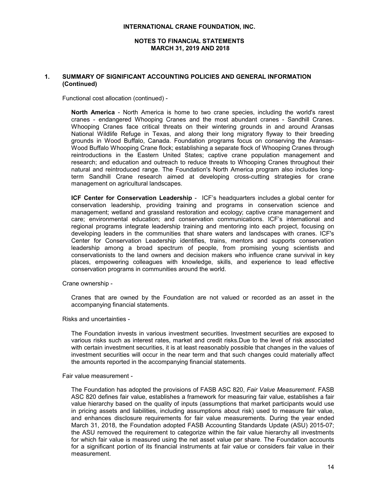#### **NOTES TO FINANCIAL STATEMENTS MARCH 31, 2019 AND 2018**

## **1. SUMMARY OF SIGNIFICANT ACCOUNTING POLICIES AND GENERAL INFORMATION (Continued)**

Functional cost allocation (continued) -

**North America** - North America is home to two crane species, including the world's rarest cranes - endangered Whooping Cranes and the most abundant cranes - Sandhill Cranes. Whooping Cranes face critical threats on their wintering grounds in and around Aransas National Wildlife Refuge in Texas, and along their long migratory flyway to their breeding grounds in Wood Buffalo, Canada. Foundation programs focus on conserving the Aransas-Wood Buffalo Whooping Crane flock; establishing a separate flock of Whooping Cranes through reintroductions in the Eastern United States; captive crane population management and research; and education and outreach to reduce threats to Whooping Cranes throughout their natural and reintroduced range. The Foundation's North America program also includes longterm Sandhill Crane research aimed at developing cross-cutting strategies for crane management on agricultural landscapes.

**ICF Center for Conservation Leadership** - ICF's headquarters includes a global center for conservation leadership, providing training and programs in conservation science and management; wetland and grassland restoration and ecology; captive crane management and care; environmental education; and conservation communications. ICF's international and regional programs integrate leadership training and mentoring into each project, focusing on developing leaders in the communities that share waters and landscapes with cranes. ICF's Center for Conservation Leadership identifies, trains, mentors and supports conservation leadership among a broad spectrum of people, from promising young scientists and conservationists to the land owners and decision makers who influence crane survival in key places, empowering colleagues with knowledge, skills, and experience to lead effective conservation programs in communities around the world.

Crane ownership -

Cranes that are owned by the Foundation are not valued or recorded as an asset in the accompanying financial statements.

Risks and uncertainties -

The Foundation invests in various investment securities. Investment securities are exposed to various risks such as interest rates, market and credit risks.Due to the level of risk associated with certain investment securities, it is at least reasonably possible that changes in the values of investment securities will occur in the near term and that such changes could materially affect the amounts reported in the accompanying financial statements.

Fair value measurement -

The Foundation has adopted the provisions of FASB ASC 820, *Fair Value Measurement*. FASB ASC 820 defines fair value, establishes a framework for measuring fair value, establishes a fair value hierarchy based on the quality of inputs (assumptions that market participants would use in pricing assets and liabilities, including assumptions about risk) used to measure fair value, and enhances disclosure requirements for fair value measurements. During the year ended March 31, 2018, the Foundation adopted FASB Accounting Standards Update (ASU) 2015-07; the ASU removed the requirement to categorize within the fair value hierarchy all investments for which fair value is measured using the net asset value per share. The Foundation accounts for a significant portion of its financial instruments at fair value or considers fair value in their measurement.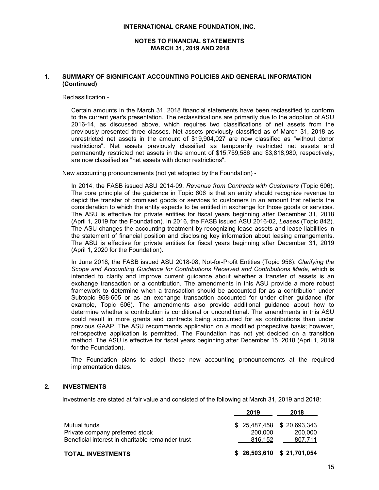#### **NOTES TO FINANCIAL STATEMENTS MARCH 31, 2019 AND 2018**

# **1. SUMMARY OF SIGNIFICANT ACCOUNTING POLICIES AND GENERAL INFORMATION (Continued)**

Reclassification -

Certain amounts in the March 31, 2018 financial statements have been reclassified to conform to the current year's presentation. The reclassifications are primarily due to the adoption of ASU 2016-14, as discussed above, which requires two classifications of net assets from the previously presented three classes. Net assets previously classified as of March 31, 2018 as unrestricted net assets in the amount of \$19,904,027 are now classified as "without donor restrictions". Net assets previously classified as temporarily restricted net assets and permanently restricted net assets in the amount of \$15,759,586 and \$3,818,980, respectively, are now classified as "net assets with donor restrictions".

New accounting pronouncements (not yet adopted by the Foundation) -

In 2014, the FASB issued ASU 2014-09, *Revenue from Contracts with Customers* (Topic 606). The core principle of the guidance in Topic 606 is that an entity should recognize revenue to depict the transfer of promised goods or services to customers in an amount that reflects the consideration to which the entity expects to be entitled in exchange for those goods or services. The ASU is effective for private entities for fiscal years beginning after December 31, 2018 (April 1, 2019 for the Foundation). In 2016, the FASB issued ASU 2016-02, *Leases* (Topic 842). The ASU changes the accounting treatment by recognizing lease assets and lease liabilities in the statement of financial position and disclosing key information about leasing arrangements. The ASU is effective for private entities for fiscal years beginning after December 31, 2019 (April 1, 2020 for the Foundation).

In June 2018, the FASB issued ASU 2018-08, Not-for-Profit Entities (Topic 958): *Clarifying the Scope and Accounting Guidance for Contributions Received and Contributions Made,* which is intended to clarify and improve current guidance about whether a transfer of assets is an exchange transaction or a contribution. The amendments in this ASU provide a more robust framework to determine when a transaction should be accounted for as a contribution under Subtopic 958-605 or as an exchange transaction accounted for under other guidance (for example, Topic 606). The amendments also provide additional guidance about how to determine whether a contribution is conditional or unconditional. The amendments in this ASU could result in more grants and contracts being accounted for as contributions than under previous GAAP. The ASU recommends application on a modified prospective basis; however, retrospective application is permitted. The Foundation has not yet decided on a transition method. The ASU is effective for fiscal years beginning after December 15, 2018 (April 1, 2019 for the Foundation).

The Foundation plans to adopt these new accounting pronouncements at the required implementation dates.

## **2. INVESTMENTS**

Investments are stated at fair value and consisted of the following at March 31, 2019 and 2018:

|                                                   | 2019    | 2018                        |
|---------------------------------------------------|---------|-----------------------------|
| Mutual funds                                      |         | \$ 25,487,458 \$ 20,693,343 |
| Private company preferred stock                   | 200,000 | 200,000                     |
| Beneficial interest in charitable remainder trust | 816.152 | 807,711                     |
| TOTAL INVESTMENTS                                 |         | $$26,503,610$ $$21,701,054$ |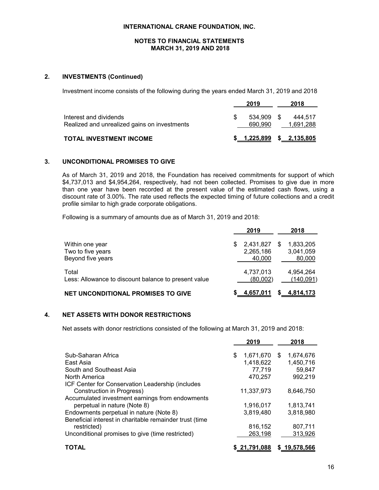#### **NOTES TO FINANCIAL STATEMENTS MARCH 31, 2019 AND 2018**

## **2. INVESTMENTS (Continued)**

Investment income consists of the following during the years ended March 31, 2019 and 2018

|                                                                        | 2019 |                       |  | 2018                        |  |  |
|------------------------------------------------------------------------|------|-----------------------|--|-----------------------------|--|--|
| Interest and dividends<br>Realized and unrealized gains on investments |      | 534.909 \$<br>690.990 |  | 444.517<br>1,691,288        |  |  |
| TOTAL INVESTMENT INCOME                                                |      |                       |  | $$ 1,225,899$ $$ 2,135,805$ |  |  |

## **3. UNCONDITIONAL PROMISES TO GIVE**

As of March 31, 2019 and 2018, the Foundation has received commitments for support of which \$4,737,013 and \$4,954,264, respectively, had not been collected. Promises to give due in more than one year have been recorded at the present value of the estimated cash flows, using a discount rate of 3.00%. The rate used reflects the expected timing of future collections and a credit profile similar to high grade corporate obligations.

Following is a summary of amounts due as of March 31, 2019 and 2018:

|                                                               |   | 2019                             | 2018                             |
|---------------------------------------------------------------|---|----------------------------------|----------------------------------|
| Within one year<br>Two to five years<br>Beyond five years     | S | 2,431,827<br>2,265,186<br>40,000 | 1,833,205<br>3,041,059<br>80,000 |
| Total<br>Less: Allowance to discount balance to present value |   | 4,737,013<br>(80,002)            | 4,954,264<br>(140,091)           |
| <b>NET UNCONDITIONAL PROMISES TO GIVE</b>                     |   | 4,657,011                        | 4,814,173                        |

#### **4. NET ASSETS WITH DONOR RESTRICTIONS**

Net assets with donor restrictions consisted of the following at March 31, 2019 and 2018:

|                                                         |   | 2019         | 2018         |
|---------------------------------------------------------|---|--------------|--------------|
|                                                         |   |              |              |
| Sub-Saharan Africa                                      | S | 1,671,670 \$ | 1,674,676    |
| East Asia                                               |   | 1,418,622    | 1,450,716    |
| South and Southeast Asia                                |   | 77,719       | 59,847       |
| North America                                           |   | 470,257      | 992,219      |
| ICF Center for Conservation Leadership (includes        |   |              |              |
| Construction in Progress)                               |   | 11.337.973   | 8.646.750    |
| Accumulated investment earnings from endowments         |   |              |              |
| perpetual in nature (Note 8)                            |   | 1,916,017    | 1,813,741    |
| Endowments perpetual in nature (Note 8)                 |   | 3.819.480    | 3.818.980    |
| Beneficial interest in charitable remainder trust (time |   |              |              |
| restricted)                                             |   | 816,152      | 807,711      |
| Unconditional promises to give (time restricted)        |   | 263,198      | 313,926      |
| TOTAL                                                   |   | \$21,791,088 | \$19,578,566 |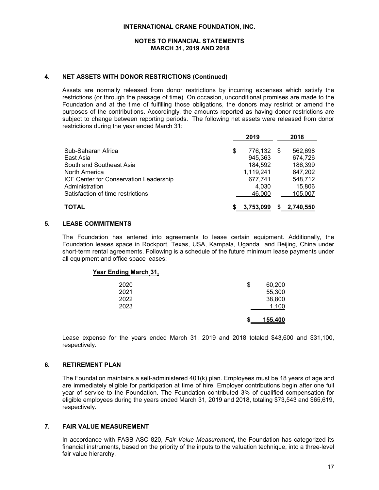#### **NOTES TO FINANCIAL STATEMENTS MARCH 31, 2019 AND 2018**

## **4. NET ASSETS WITH DONOR RESTRICTIONS (Continued)**

Assets are normally released from donor restrictions by incurring expenses which satisfy the restrictions (or through the passage of time). On occasion, unconditional promises are made to the Foundation and at the time of fulfilling those obligations, the donors may restrict or amend the purposes of the contributions. Accordingly, the amounts reported as having donor restrictions are subject to change between reporting periods. The following net assets were released from donor restrictions during the year ended March 31:

|                                        | 2019          |   | 2018      |
|----------------------------------------|---------------|---|-----------|
| Sub-Saharan Africa                     | \$<br>776,132 | S | 562.698   |
| East Asia                              | 945.363       |   | 674,726   |
| South and Southeast Asia               | 184.592       |   | 186,399   |
| North America                          | 1,119,241     |   | 647,202   |
| ICF Center for Conservation Leadership | 677,741       |   | 548,712   |
| Administration                         | 4.030         |   | 15,806    |
| Satisfaction of time restrictions      | 46,000        |   | 105,007   |
| <b>TOTAL</b>                           | 3,753,099     |   | 2,740,550 |

#### **5. LEASE COMMITMENTS**

The Foundation has entered into agreements to lease certain equipment. Additionally, the Foundation leases space in Rockport, Texas, USA, Kampala, Uganda and Beijing, China under short-term rental agreements. Following is a schedule of the future minimum lease payments under all equipment and office space leases:

## **Year Ending March 31,**

| 2023 | 1,100<br>155,400<br>S |
|------|-----------------------|
| 2022 | 38,800                |
| 2021 | 55,300                |
| 2020 | 60,200<br>\$          |

Lease expense for the years ended March 31, 2019 and 2018 totaled \$43,600 and \$31,100, respectively.

## **6. RETIREMENT PLAN**

The Foundation maintains a self-administered 401(k) plan. Employees must be 18 years of age and are immediately eligible for participation at time of hire. Employer contributions begin after one full year of service to the Foundation. The Foundation contributed 3% of qualified compensation for eligible employees during the years ended March 31, 2019 and 2018, totaling \$73,543 and \$65,619, respectively.

## **7. FAIR VALUE MEASUREMENT**

In accordance with FASB ASC 820, *Fair Value Measurement*, the Foundation has categorized its financial instruments, based on the priority of the inputs to the valuation technique, into a three-level fair value hierarchy.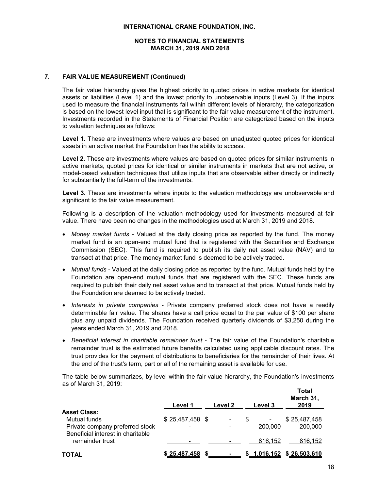## **NOTES TO FINANCIAL STATEMENTS MARCH 31, 2019 AND 2018**

## **7. FAIR VALUE MEASUREMENT (Continued)**

The fair value hierarchy gives the highest priority to quoted prices in active markets for identical assets or liabilities (Level 1) and the lowest priority to unobservable inputs (Level 3). If the inputs used to measure the financial instruments fall within different levels of hierarchy, the categorization is based on the lowest level input that is significant to the fair value measurement of the instrument. Investments recorded in the Statements of Financial Position are categorized based on the inputs to valuation techniques as follows:

**Level 1.** These are investments where values are based on unadjusted quoted prices for identical assets in an active market the Foundation has the ability to access.

**Level 2.** These are investments where values are based on quoted prices for similar instruments in active markets, quoted prices for identical or similar instruments in markets that are not active, or model-based valuation techniques that utilize inputs that are observable either directly or indirectly for substantially the full-term of the investments.

**Level 3.** These are investments where inputs to the valuation methodology are unobservable and significant to the fair value measurement.

Following is a description of the valuation methodology used for investments measured at fair value. There have been no changes in the methodologies used at March 31, 2019 and 2018.

- *Money market funds* Valued at the daily closing price as reported by the fund. The money market fund is an open-end mutual fund that is registered with the Securities and Exchange Commission (SEC). This fund is required to publish its daily net asset value (NAV) and to transact at that price. The money market fund is deemed to be actively traded.
- *Mutual funds* Valued at the daily closing price as reported by the fund. Mutual funds held by the Foundation are open-end mutual funds that are registered with the SEC. These funds are required to publish their daily net asset value and to transact at that price. Mutual funds held by the Foundation are deemed to be actively traded.
- *Interests in private companies* Private company preferred stock does not have a readily determinable fair value. The shares have a call price equal to the par value of \$100 per share plus any unpaid dividends. The Foundation received quarterly dividends of \$3,250 during the years ended March 31, 2019 and 2018.
- *Beneficial interest in charitable remainder trust* The fair value of the Foundation's charitable remainder trust is the estimated future benefits calculated using applicable discount rates. The trust provides for the payment of distributions to beneficiaries for the remainder of their lives. At the end of the trust's term, part or all of the remaining asset is available for use.

The table below summarizes, by level within the fair value hierarchy, the Foundation's investments as of March 31, 2019:

|                                                                      | Level 1                      | Level 2 |     | Level 3      | <b>Total</b><br>March 31,<br>2019 |
|----------------------------------------------------------------------|------------------------------|---------|-----|--------------|-----------------------------------|
| <b>Asset Class:</b>                                                  |                              |         |     |              |                                   |
| Mutual funds                                                         | $$25,487,458$ \$             |         | \$. |              | \$25.487.458                      |
| Private company preferred stock<br>Beneficial interest in charitable | $\qquad \qquad \blacksquare$ |         |     | 200,000      | 200,000                           |
| remainder trust                                                      |                              |         |     | 816,152      | 816,152                           |
| TOTAL                                                                | \$25,487,458                 |         |     | \$ 1,016,152 | \$26,503,610                      |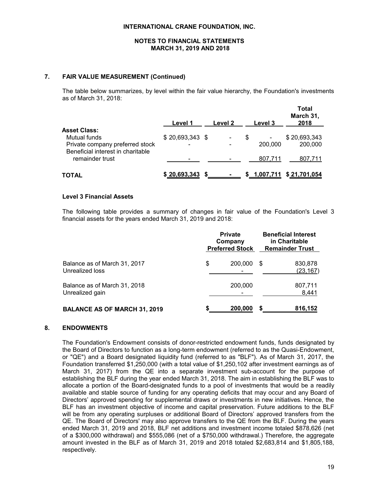#### **NOTES TO FINANCIAL STATEMENTS MARCH 31, 2019 AND 2018**

## **7. FAIR VALUE MEASUREMENT (Continued)**

The table below summarizes, by level within the fair value hierarchy, the Foundation's investments as of March 31, 2018:

|                                                                      | Level 1          | Level 2 |   | Level 3          | <b>Total</b><br>March 31,<br>2018 |
|----------------------------------------------------------------------|------------------|---------|---|------------------|-----------------------------------|
| <b>Asset Class:</b>                                                  |                  |         |   |                  |                                   |
| Mutual funds                                                         | $$20,693,343$ \$ |         | S |                  | \$20,693,343                      |
| Private company preferred stock<br>Beneficial interest in charitable |                  |         |   | 200,000          | 200,000                           |
| remainder trust                                                      |                  |         |   | 807.711          | 807,711                           |
| TOTAL                                                                | \$20,693,343     |         |   | <u>1,007,711</u> | <u>\$ 21,701,054</u>              |

#### **Level 3 Financial Assets**

The following table provides a summary of changes in fair value of the Foundation's Level 3 financial assets for the years ended March 31, 2019 and 2018:

|                                                 | <b>Private</b><br>Company<br><b>Preferred Stock</b> | <b>Beneficial Interest</b><br>in Charitable<br><b>Remainder Trust</b> |                      |  |  |
|-------------------------------------------------|-----------------------------------------------------|-----------------------------------------------------------------------|----------------------|--|--|
| Balance as of March 31, 2017<br>Unrealized loss | \$<br>200,000                                       | \$.                                                                   | 830,878<br>(23, 167) |  |  |
| Balance as of March 31, 2018<br>Unrealized gain | 200,000                                             |                                                                       | 807,711<br>8,441     |  |  |
| <b>BALANCE AS OF MARCH 31, 2019</b>             | 200,000                                             |                                                                       | 816,152              |  |  |

# **8. ENDOWMENTS**

The Foundation's Endowment consists of donor-restricted endowment funds, funds designated by the Board of Directors to function as a long-term endowment (referred to as the Quasi-Endowment, or "QE") and a Board designated liquidity fund (referred to as "BLF"). As of March 31, 2017, the Foundation transferred \$1,250,000 (with a total value of \$1,250,102 after investment earnings as of March 31, 2017) from the QE into a separate investment sub-account for the purpose of establishing the BLF during the year ended March 31, 2018. The aim in establishing the BLF was to allocate a portion of the Board-designated funds to a pool of investments that would be a readily available and stable source of funding for any operating deficits that may occur and any Board of Directors' approved spending for supplemental draws or investments in new initiatives. Hence, the BLF has an investment objective of income and capital preservation. Future additions to the BLF will be from any operating surpluses or additional Board of Directors' approved transfers from the QE. The Board of Directors' may also approve transfers to the QE from the BLF. During the years ended March 31, 2019 and 2018, BLF net additions and investment income totaled \$878,626 (net of a \$300,000 withdrawal) and \$555,086 (net of a \$750,000 withdrawal.) Therefore, the aggregate amount invested in the BLF as of March 31, 2019 and 2018 totaled \$2,683,814 and \$1,805,188, respectively.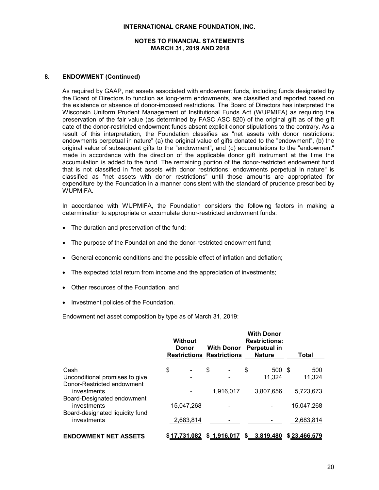## **NOTES TO FINANCIAL STATEMENTS MARCH 31, 2019 AND 2018**

## **8. ENDOWMENT (Continued)**

As required by GAAP, net assets associated with endowment funds, including funds designated by the Board of Directors to function as long-term endowments, are classified and reported based on the existence or absence of donor-imposed restrictions. The Board of Directors has interpreted the Wisconsin Uniform Prudent Management of Institutional Funds Act (WUPMIFA) as requiring the preservation of the fair value (as determined by FASC ASC 820) of the original gift as of the gift date of the donor-restricted endowment funds absent explicit donor stipulations to the contrary. As a result of this interpretation, the Foundation classifies as "net assets with donor restrictions: endowments perpetual in nature" (a) the original value of gifts donated to the "endowment", (b) the original value of subsequent gifts to the "endowment", and (c) accumulations to the "endowment" made in accordance with the direction of the applicable donor gift instrument at the time the accumulation is added to the fund. The remaining portion of the donor-restricted endowment fund that is not classified in "net assets with donor restrictions: endowments perpetual in nature" is classified as "net assets with donor restrictions" until those amounts are appropriated for expenditure by the Foundation in a manner consistent with the standard of prudence prescribed by WUPMIFA.

In accordance with WUPMIFA, the Foundation considers the following factors in making a determination to appropriate or accumulate donor-restricted endowment funds:

- The duration and preservation of the fund;
- The purpose of the Foundation and the donor-restricted endowment fund;
- General economic conditions and the possible effect of inflation and deflation;
- The expected total return from income and the appreciation of investments;
- Other resources of the Foundation, and
- Investment policies of the Foundation.

Endowment net asset composition by type as of March 31, 2019:

|                                           | Without<br>Donor<br><b>Restrictions Restrictions</b> | <b>With Donor</b> |    | <b>With Donor</b><br><b>Restrictions:</b><br>Perpetual in<br><b>Nature</b> |      | Total        |
|-------------------------------------------|------------------------------------------------------|-------------------|----|----------------------------------------------------------------------------|------|--------------|
| Cash                                      | \$                                                   | \$                | \$ | 500                                                                        | - \$ | 500          |
| Unconditional promises to give            |                                                      |                   |    | 11,324                                                                     |      | 11,324       |
| Donor-Restricted endowment                |                                                      |                   |    |                                                                            |      |              |
| investments<br>Board-Designated endowment |                                                      | 1,916,017         |    | 3,807,656                                                                  |      | 5,723,673    |
| investments                               | 15,047,268                                           |                   |    |                                                                            |      | 15.047.268   |
| Board-designated liquidity fund           |                                                      |                   |    |                                                                            |      |              |
| investments                               | 2.683.814                                            |                   |    |                                                                            |      | 2.683.814    |
| <b>ENDOWMENT NET ASSETS</b>               | \$17,731,082                                         | \$1,916,017       | S. | 3,819,480                                                                  |      | \$23,466,579 |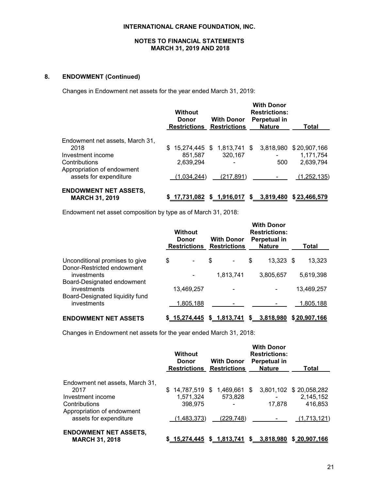# **NOTES TO FINANCIAL STATEMENTS MARCH 31, 2019 AND 2018**

# **8. ENDOWMENT (Continued)**

Changes in Endowment net assets for the year ended March 31, 2019:

|                                                       | Without<br><b>Donor</b><br><b>Restrictions</b> | <b>With Donor</b><br><b>Restrictions</b> | <b>With Donor</b><br><b>Restrictions:</b><br><b>Perpetual in</b><br><b>Nature</b> | Total                  |
|-------------------------------------------------------|------------------------------------------------|------------------------------------------|-----------------------------------------------------------------------------------|------------------------|
| Endowment net assets, March 31,                       |                                                |                                          |                                                                                   |                        |
| 2018                                                  | \$.                                            | 15,274,445 \$ 1,813,741 \$               |                                                                                   | 3,818,980 \$20,907,166 |
| Investment income                                     | 851,587                                        | 320,167                                  |                                                                                   | 1,171,754              |
| Contributions                                         | 2,639,294                                      |                                          | 500                                                                               | 2,639,794              |
| Appropriation of endowment                            |                                                |                                          |                                                                                   |                        |
| assets for expenditure                                | (1.034.244)                                    | (217,891)                                |                                                                                   | (1,252,135)            |
| <b>ENDOWMENT NET ASSETS,</b><br><b>MARCH 31, 2019</b> | \$17,731,082                                   | \$1,916,017                              | 3,819,480<br>S.                                                                   | \$23,466,579           |

Endowment net asset composition by type as of March 31, 2018:

|                                                                              | <b>Without</b><br>Donor<br><b>Restrictions</b> | <b>With Donor</b><br><b>Restrictions</b> |    | <b>With Donor</b><br><b>Restrictions:</b><br>Perpetual in<br><b>Nature</b> | Total        |
|------------------------------------------------------------------------------|------------------------------------------------|------------------------------------------|----|----------------------------------------------------------------------------|--------------|
| Unconditional promises to give<br>Donor-Restricted endowment                 | \$<br>$\overline{\phantom{a}}$                 | \$                                       | \$ | $13,323$ \$                                                                | 13,323       |
| investments                                                                  |                                                | 1,813,741                                |    | 3,805,657                                                                  | 5,619,398    |
| Board-Designated endowment<br>investments<br>Board-Designated liquidity fund | 13,469,257                                     |                                          |    |                                                                            | 13,469,257   |
| investments                                                                  | 1,805,188                                      |                                          |    |                                                                            | 1,805,188    |
| <b>ENDOWMENT NET ASSETS</b>                                                  | \$15,274,445                                   | \$1,813,741                              | S. | 3,818,980                                                                  | \$20,907,166 |

Changes in Endowment net assets for the year ended March 31, 2018:

|                                                       | <b>Without</b><br>Donor<br>Restrictions | <b>With Donor</b><br><b>Restrictions</b> | <b>With Donor</b><br><b>Restrictions:</b><br>Perpetual in<br><b>Nature</b> | Total                   |
|-------------------------------------------------------|-----------------------------------------|------------------------------------------|----------------------------------------------------------------------------|-------------------------|
| Endowment net assets, March 31,                       |                                         |                                          |                                                                            |                         |
| 2017                                                  | \$.                                     | 14,787,519 \$ 1,469,661                  | \$.                                                                        | 3,801,102 \$ 20,058,282 |
| Investment income                                     | 1,571,324                               | 573,828                                  |                                                                            | 2,145,152               |
| Contributions                                         | 398,975                                 |                                          | 17.878                                                                     | 416,853                 |
| Appropriation of endowment<br>assets for expenditure  | (1,483,373)                             | (229.748)                                |                                                                            | (1,713,121)             |
| <b>ENDOWMENT NET ASSETS,</b><br><b>MARCH 31, 2018</b> | \$ <u>15,274,445</u>                    | \$ 1,813,741                             | 3,818,980<br>S.                                                            | \$20,907,166            |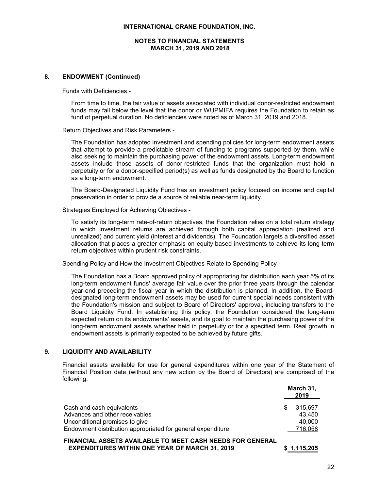#### **NOTES TO FINANCIAL STATEMENTS MARCH 31, 2019 AND 2018**

#### **8. ENDOWMENT (Continued)**

Funds with Deficiencies -

From time to time, the fair value of assets associated with individual donor-restricted endowment funds may fall below the level that the donor or WUPMIFA requires the Foundation to retain as fund of perpetual duration. No deficiencies were noted as of March 31, 2019 and 2018.

Return Objectives and Risk Parameters -

The Foundation has adopted investment and spending policies for long-term endowment assets that attempt to provide a predictable stream of funding to programs supported by them, while also seeking to maintain the purchasing power of the endowment assets. Long-term endowment assets include those assets of donor-restricted funds that the organization must hold in perpetuity or for a donor-specified period(s) as well as funds designated by the Board to function as a long-term endowment.

The Board-Designated Liquidity Fund has an investment policy focused on income and capital preservation in order to provide a source of reliable near-term liquidity.

Strategies Employed for Achieving Objectives -

To satisfy its long-term rate-of-return objectives, the Foundation relies on a total return strategy in which investment returns are achieved through both capital appreciation (realized and unrealized) and current yield (interest and dividends). The Foundation targets a diversified asset allocation that places a greater emphasis on equity-based investments to achieve its long-term return objectives within prudent risk constraints.

Spending Policy and How the Investment Objectives Relate to Spending Policy -

The Foundation has a Board approved policy of appropriating for distribution each year 5% of its long-term endowment funds' average fair value over the prior three years through the calendar year-end preceding the fiscal year in which the distribution is planned. In addition, the Boarddesignated long-term endowment assets may be used for current special needs consistent with the Foundation's mission and subject to Board of Directors' approval, including transfers to the Board Liquidity Fund. In establishing this policy, the Foundation considered the long-term expected return on its endowments' assets, and its goal to maintain the purchasing power of the long-term endowment assets whether held in perpetuity or for a specified term. Real growth in endowment assets is primarily expected to be achieved by future gifts.

## **9. LIQUIDITY AND AVAILABILITY**

Financial assets available for use for general expenditures within one year of the Statement of Financial Position date (without any new action by the Board of Directors) are comprised of the following:

|                                                             |    | March 31,<br>2019 |
|-------------------------------------------------------------|----|-------------------|
| Cash and cash equivalents<br>Advances and other receivables | £. | 315.697<br>43.450 |
| Unconditional promises to give                              |    | 40.000            |
| Endowment distribution appropriated for general expenditure |    | 716,058           |

#### **FINANCIAL ASSETS AVAILABLE TO MEET CASH NEEDS FOR GENERAL EXPENDITURES WITHIN ONE YEAR OF MARCH 31, 2019 \$ 1,115,205**